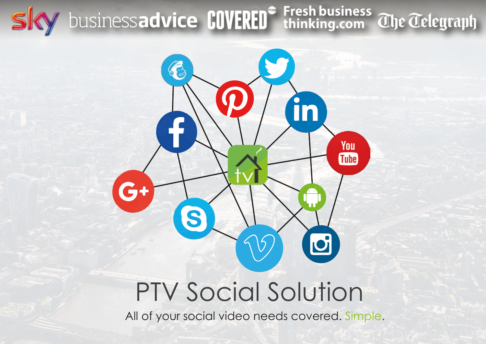# M businessadvice COVERED<sup>®</sup> Fresh business ahe adelegraph



# PTV Social Solution

All of your social video needs covered. Simple.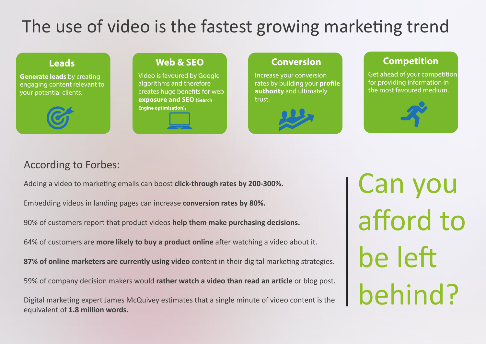# The use of video is the fastest growing marketing trend

**Generate leads** by creating engaging content relevant to your potential clients.



#### **Web & SEO**

Video is favoured by Google algorithms and therefore creates huge benefits for web **exposure and SEO (Search Engine optimisation).**



#### **Leads Conversion**

Increase your conversion rates by building your **profile authority** and ultimately trust.



#### **Competition**

Get ahead of your competition for providing information in the most favoured medium.

#### According to Forbes:

Adding a video to marketing emails can boost **click-through rates by 200-300%.**

Embedding videos in landing pages can increase **conversion rates by 80%.**

90% of customers report that product videos **help them make purchasing decisions.**

64% of customers are **more likely to buy a product online** after watching a video about it.

**87% of online marketers are currently using video** content in their digital marketing strategies.

59% of company decision makers would **rather watch a video than read an article** or blog post.

Digital marketing expert James McQuivey estimates that a single minute of video content is the equivalent of **1.8 million words.**

Can you afford to be left behind?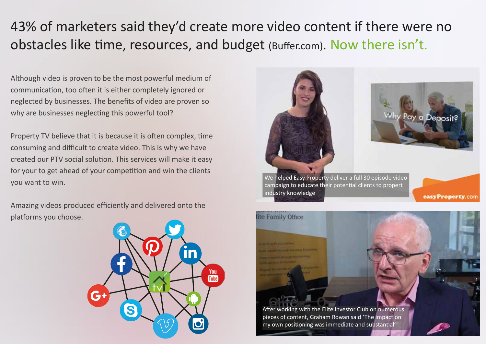## 43% of marketers said they'd create more video content if there were no obstacles like time, resources, and budget (Buffer.com). Now there isn't.

Although video is proven to be the most powerful medium of communication, too often it is either completely ignored or neglected by businesses. The benefits of video are proven so why are businesses neglecting this powerful tool?

Property TV believe that it is because it is often complex, time consuming and difficult to create video. This is why we have created our PTV social solution. This services will make it easy for your to get ahead of your competition and win the clients you want to win.

Amazing videos produced efficiently and delivered onto the platforms you choose.





We helped Easy Property deliver a full 30 episode video campaign to educate their potential clients to propert industry knowledge

easyProperty.com

<sup>P</sup>ay a Deposit?

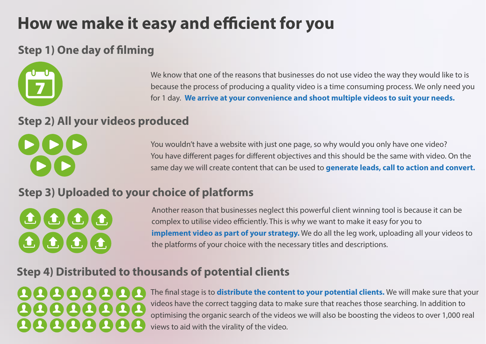# **How we make it easy and efficient for you**

### **Step 1) One day of filming**



We know that one of the reasons that businesses do not use video the way they would like to is because the process of producing a quality video is a time consuming process. We only need you for 1 day. **We arrive at your convenience and shoot multiple videos to suit your needs.**

#### **Step 2) All your videos produced**



You wouldn't have a website with just one page, so why would you only have one video? You have different pages for different objectives and this should be the same with video. On the same day we will create content that can be used to **generate leads, call to action and convert.**

### **Step 3) Uploaded to your choice of platforms**



Another reason that businesses neglect this powerful client winning tool is because it can be complex to utilise video efficiently. This is why we want to make it easy for you to **implement video as part of your strategy.** We do all the leg work, uploading all your videos to the platforms of your choice with the necessary titles and descriptions.

### **Step 4) Distributed to thousands of potential clients**

# 10000000 88888888

The final stage is to **distribute the content to your potential clients.** We will make sure that your videos have the correct tagging data to make sure that reaches those searching. In addition to optimising the organic search of the videos we will also be boosting the videos to over 1,000 real views to aid with the virality of the video.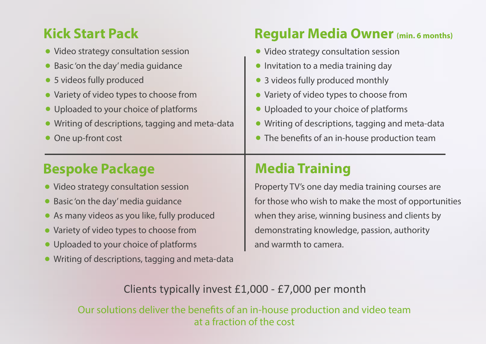## **Kick Start Pack**

- Video strategy consultation session
- Basic 'on the day' media guidance
- 5 videos fully produced
- Variety of video types to choose from
- Uploaded to your choice of platforms
- Writing of descriptions, tagging and meta-data
- One up-front cost

## **Regular Media Owner (min. 6 months)**

- Video strategy consultation session
- Invitation to a media training day  $\bullet$
- 3 videos fully produced monthly
- Variety of video types to choose from  $\bullet$
- Uploaded to your choice of platforms  $\bullet$
- Writing of descriptions, tagging and meta-data  $\bullet$
- The benefits of an in-house production team

# **Bespoke Package**

- Video strategy consultation session
- Basic 'on the day' media guidance
- As many videos as you like, fully produced
- Variety of video types to choose from
- Uploaded to your choice of platforms
- Writing of descriptions, tagging and meta-data

# **Media Training**

Property TV's one day media training courses are for those who wish to make the most of opportunities when they arise, winning business and clients by demonstrating knowledge, passion, authority and warmth to camera.

### Clients typically invest £1,000 - £7,000 per month

Our solutions deliver the benefits of an in-house production and video team at a fraction of the cost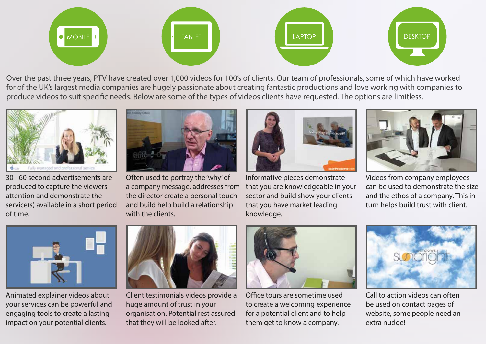

Over the past three years, PTV have created over 1,000 videos for 100's of clients. Our team of professionals, some of which have worked for of the UK's largest media companies are hugely passionate about creating fantastic productions and love working with companies to produce videos to suit specific needs. Below are some of the types of videos clients have requested. The options are limitless.



30 - 60 second advertisements are produced to capture the viewers attention and demonstrate the service(s) available in a short period of time.



Often used to portray the 'why' of a company message, addresses from the director create a personal touch and build help build a relationship with the clients.



Informative pieces demonstrate that you are knowledgeable in your sector and build show your clients that you have market leading knowledge.



Videos from company employees can be used to demonstrate the size and the ethos of a company. This in turn helps build trust with client.



Animated explainer videos about your services can be powerful and engaging tools to create a lasting impact on your potential clients.



Client testimonials videos provide a huge amount of trust in your organisation. Potential rest assured that they will be looked after.



Office tours are sometime used to create a welcoming experience for a potential client and to help them get to know a company.



Call to action videos can often be used on contact pages of website, some people need an extra nudge!